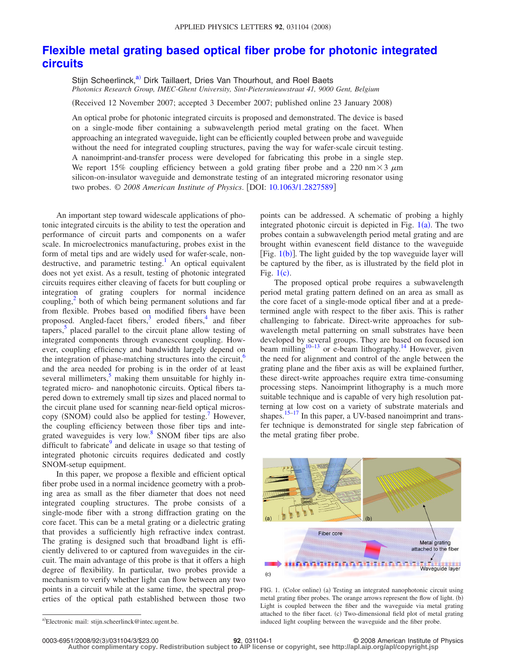## **[Flexible metal grating based optical fiber probe for photonic integrated](http://dx.doi.org/10.1063/1.2827589) [circuits](http://dx.doi.org/10.1063/1.2827589)**

Stijn Scheerlinck,<sup>a)</sup> Dirk Taillaert, Dries Van Thourhout, and Roel Baets *Photonics Research Group, IMEC-Ghent University, Sint-Pietersnieuwstraat 41, 9000 Gent, Belgium*

(Received 12 November 2007; accepted 3 December 2007; published online 23 January 2008)

An optical probe for photonic integrated circuits is proposed and demonstrated. The device is based on a single-mode fiber containing a subwavelength period metal grating on the facet. When approaching an integrated waveguide, light can be efficiently coupled between probe and waveguide without the need for integrated coupling structures, paving the way for wafer-scale circuit testing. A nanoimprint-and-transfer process were developed for fabricating this probe in a single step. We report 15% coupling efficiency between a gold grating fiber probe and a 220 nm $\times$ 3  $\mu$ m silicon-on-insulator waveguide and demonstrate testing of an integrated microring resonator using two probes. © 2008 American Institute of Physics. [DOI: [10.1063/1.2827589](http://dx.doi.org/10.1063/1.2827589)]

An important step toward widescale applications of photonic integrated circuits is the ability to test the operation and performance of circuit parts and components on a wafer scale. In microelectronics manufacturing, probes exist in the form of metal tips and are widely used for wafer-scale, nondestructive, and parametric testing.<sup>1</sup> An optical equivalent does not yet exist. As a result, testing of photonic integrated circuits requires either cleaving of facets for butt coupling or integration of grating couplers for normal incidence coupling, $\frac{2}{3}$  both of which being permanent solutions and far from flexible. Probes based on modified fibers have been proposed. Angled-facet fibers, $3 \text{ eroded }$  fibers,  $4 \text{ and }$  fiber tapers, $\frac{5}{7}$  placed parallel to the circuit plane allow testing of integrated components through evanescent coupling. However, coupling efficiency and bandwidth largely depend on the integration of phase-matching structures into the circuit,<sup>6</sup> and the area needed for probing is in the order of at least several millimeters, $\frac{5}{3}$  making them unsuitable for highly integrated micro- and nanophotonic circuits. Optical fibers tapered down to extremely small tip sizes and placed normal to the circuit plane used for scanning near-field optical microscopy (SNOM) could also be applied for testing.<sup>7</sup> However, the coupling efficiency between those fiber tips and integrated waveguides is very low. $8$  SNOM fiber tips are also difficult to fabricate $9$  and delicate in usage so that testing of integrated photonic circuits requires dedicated and costly SNOM-setup equipment.

In this paper, we propose a flexible and efficient optical fiber probe used in a normal incidence geometry with a probing area as small as the fiber diameter that does not need integrated coupling structures. The probe consists of a single-mode fiber with a strong diffraction grating on the core facet. This can be a metal grating or a dielectric grating that provides a sufficiently high refractive index contrast. The grating is designed such that broadband light is efficiently delivered to or captured from waveguides in the circuit. The main advantage of this probe is that it offers a high degree of flexibility. In particular, two probes provide a mechanism to verify whether light can flow between any two points in a circuit while at the same time, the spectral properties of the optical path established between those two points can be addressed. A schematic of probing a highly integrated photonic circuit is depicted in Fig.  $1(a)$  $1(a)$ . The two probes contain a subwavelength period metal grating and are brought within evanescent field distance to the waveguide [Fig.  $1(b)$  $1(b)$ ]. The light guided by the top waveguide layer will be captured by the fiber, as is illustrated by the field plot in Fig.  $1(c)$  $1(c)$ .

The proposed optical probe requires a subwavelength period metal grating pattern defined on an area as small as the core facet of a single-mode optical fiber and at a predetermined angle with respect to the fiber axis. This is rather challenging to fabricate. Direct-write approaches for subwavelength metal patterning on small substrates have been developed by several groups. They are based on focused ion beam milling<sup>10[–13](#page-2-9)</sup> or e-beam lithography.<sup>14</sup> However, given the need for alignment and control of the angle between the grating plane and the fiber axis as will be explained further, these direct-write approaches require extra time-consuming processing steps. Nanoimprint lithography is a much more suitable technique and is capable of very high resolution patterning at low cost on a variety of substrate materials and shapes.<sup>15–[17](#page-2-12)</sup> In this paper, a UV-based nanoimprint and transfer technique is demonstrated for single step fabrication of the metal grating fiber probe.

<span id="page-0-1"></span>

FIG. 1. (Color online) (a) Testing an integrated nanophotonic circuit using metal grating fiber probes. The orange arrows represent the flow of light. (b) Light is coupled between the fiber and the waveguide via metal grating attached to the fiber facet. (c) Two-dimensional field plot of metal grating induced light coupling between the waveguide and the fiber probe.

0003-6951/2008/92(3)/031104/3/\$23.00

**Author complimentary copy. Redistribution subject to AIP license or copyright, see http://apl.aip.org/apl/copyright.jsp**

<span id="page-0-0"></span>a)Electronic mail: stijn.scheerlinck@intec.ugent.be.

**<sup>92</sup>**, 031104-1 © 2008 American Institute of Physics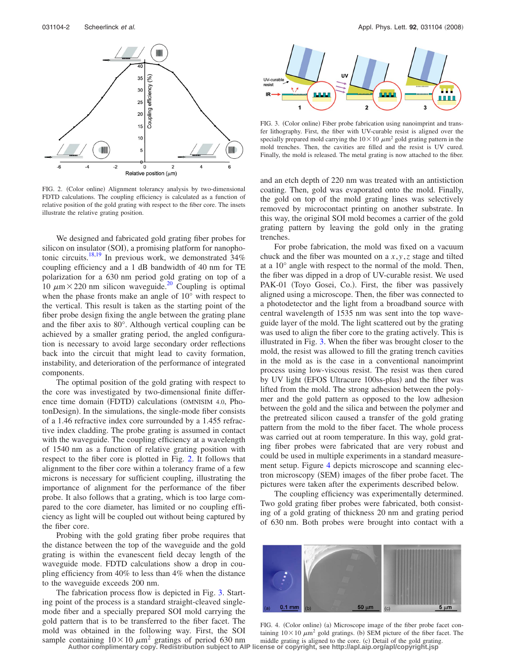<span id="page-1-0"></span>

FIG. 2. (Color online) Alignment tolerancy analysis by two-dimensional FDTD calculations. The coupling efficiency is calculated as a function of relative position of the gold grating with respect to the fiber core. The insets illustrate the relative grating position.

We designed and fabricated gold grating fiber probes for silicon on insulator (SOI), a promising platform for nanopho-tonic circuits.<sup>18,[19](#page-2-14)</sup> In previous work, we demonstrated  $34\%$ coupling efficiency and a 1 dB bandwidth of 40 nm for TE polarization for a 630 nm period gold grating on top of a 10  $\mu$ m × 220 nm silicon waveguide.<sup>20</sup> Coupling is optimal when the phase fronts make an angle of 10° with respect to the vertical. This result is taken as the starting point of the fiber probe design fixing the angle between the grating plane and the fiber axis to 80°. Although vertical coupling can be achieved by a smaller grating period, the angled configuration is necessary to avoid large secondary order reflections back into the circuit that might lead to cavity formation, instability, and deterioration of the performance of integrated components.

The optimal position of the gold grating with respect to the core was investigated by two-dimensional finite difference time domain (FDTD) calculations (OMNISIM 4.0, PhotonDesign). In the simulations, the single-mode fiber consists of a 1.46 refractive index core surrounded by a 1.455 refractive index cladding. The probe grating is assumed in contact with the waveguide. The coupling efficiency at a wavelength of 1540 nm as a function of relative grating position with respect to the fiber core is plotted in Fig. [2.](#page-1-0) It follows that alignment to the fiber core within a tolerancy frame of a few microns is necessary for sufficient coupling, illustrating the importance of alignment for the performance of the fiber probe. It also follows that a grating, which is too large compared to the core diameter, has limited or no coupling efficiency as light will be coupled out without being captured by the fiber core.

Probing with the gold grating fiber probe requires that the distance between the top of the waveguide and the gold grating is within the evanescent field decay length of the waveguide mode. FDTD calculations show a drop in coupling efficiency from 40% to less than 4% when the distance to the waveguide exceeds 200 nm.

The fabrication process flow is depicted in Fig. [3.](#page-1-1) Starting point of the process is a standard straight-cleaved singlemode fiber and a specially prepared SOI mold carrying the gold pattern that is to be transferred to the fiber facet. The mold was obtained in the following way. First, the SOI sample containing  $10 \times 10 \ \mu m^2$  gratings of period 630 nm

<span id="page-1-1"></span>

FIG. 3. (Color online) Fiber probe fabrication using nanoimprint and transfer lithography. First, the fiber with UV-curable resist is aligned over the specially prepared mold carrying the  $10 \times 10 \ \mu m^2$  gold grating pattern in the mold trenches. Then, the cavities are filled and the resist is UV cured. Finally, the mold is released. The metal grating is now attached to the fiber.

and an etch depth of 220 nm was treated with an antistiction coating. Then, gold was evaporated onto the mold. Finally, the gold on top of the mold grating lines was selectively removed by microcontact printing on another substrate. In this way, the original SOI mold becomes a carrier of the gold grating pattern by leaving the gold only in the grating trenches.

For probe fabrication, the mold was fixed on a vacuum chuck and the fiber was mounted on a *x*, *y* ,*z* stage and tilted at a 10° angle with respect to the normal of the mold. Then, the fiber was dipped in a drop of UV-curable resist. We used PAK-01 (Toyo Gosei, Co.). First, the fiber was passively aligned using a microscope. Then, the fiber was connected to a photodetector and the light from a broadband source with central wavelength of 1535 nm was sent into the top waveguide layer of the mold. The light scattered out by the grating was used to align the fiber core to the grating actively. This is illustrated in Fig. [3.](#page-1-1) When the fiber was brought closer to the mold, the resist was allowed to fill the grating trench cavities in the mold as is the case in a conventional nanoimprint process using low-viscous resist. The resist was then cured by UV light (EFOS Ultracure 100ss-plus) and the fiber was lifted from the mold. The strong adhesion between the polymer and the gold pattern as opposed to the low adhesion between the gold and the silica and between the polymer and the pretreated silicon caused a transfer of the gold grating pattern from the mold to the fiber facet. The whole process was carried out at room temperature. In this way, gold grating fiber probes were fabricated that are very robust and could be used in multiple experiments in a standard measurement setup. Figure [4](#page-1-2) depicts microscope and scanning electron microscopy (SEM) images of the fiber probe facet. The pictures were taken after the experiments described below.

The coupling efficiency was experimentally determined. Two gold grating fiber probes were fabricated, both consisting of a gold grating of thickness 20 nm and grating period of 630 nm. Both probes were brought into contact with a

<span id="page-1-2"></span>

FIG. 4. (Color online) (a) Microscope image of the fiber probe facet containing  $10 \times 10 \ \mu m^2$  gold gratings. (b) SEM picture of the fiber facet. The middle grating is aligned to the core. (c) Detail of the gold grating. **Author complimentary copy. Redistribution subject to AIP license or copyright, see http://apl.aip.org/apl/copyright.jsp**